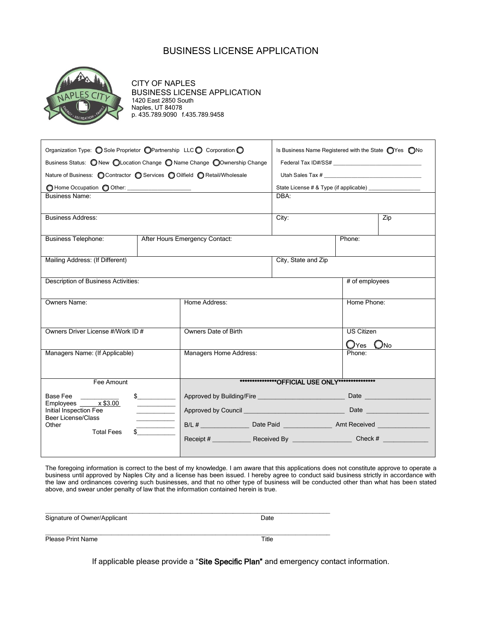### BUSINESS LICENSE APPLICATION



CITY OF NAPLES BUSINESS LICENSE APPLICATION 1420 East 2850 South Naples, UT 84078 p. 435.789.9090 f.435.789.9458

| Organization Type: O Sole Proprietor O Partnership LLC O Corporation O      | Is Business Name Registered with the State next no Mo |                                                     |                                                        |                                                                                                                                                                                                                               |  |
|-----------------------------------------------------------------------------|-------------------------------------------------------|-----------------------------------------------------|--------------------------------------------------------|-------------------------------------------------------------------------------------------------------------------------------------------------------------------------------------------------------------------------------|--|
| Business Status: ONew OLocation Change OName Change OOwnership Change       |                                                       |                                                     |                                                        |                                                                                                                                                                                                                               |  |
| Nature of Business: ○ Contractor ○ Services ○ Oilfield ○ Retail/Wholesale   |                                                       |                                                     | Utah Sales Tax # 2007 2008 2009 2009 2012 2022 2023    |                                                                                                                                                                                                                               |  |
| O Home Occupation O Other: ________________________                         |                                                       |                                                     | State License # & Type (if applicable) _______________ |                                                                                                                                                                                                                               |  |
| <b>Business Name:</b>                                                       |                                                       |                                                     | DBA:                                                   |                                                                                                                                                                                                                               |  |
|                                                                             |                                                       |                                                     |                                                        |                                                                                                                                                                                                                               |  |
| <b>Business Address:</b>                                                    |                                                       |                                                     | City:<br>Zip                                           |                                                                                                                                                                                                                               |  |
| <b>Business Telephone:</b><br>After Hours Emergency Contact:                |                                                       |                                                     |                                                        | Phone:                                                                                                                                                                                                                        |  |
|                                                                             |                                                       |                                                     |                                                        |                                                                                                                                                                                                                               |  |
| Mailing Address: (If Different)                                             |                                                       |                                                     | City, State and Zip                                    |                                                                                                                                                                                                                               |  |
|                                                                             |                                                       |                                                     |                                                        |                                                                                                                                                                                                                               |  |
| Description of Business Activities:                                         |                                                       |                                                     | # of employees                                         |                                                                                                                                                                                                                               |  |
|                                                                             |                                                       |                                                     |                                                        |                                                                                                                                                                                                                               |  |
| Owners Name:                                                                |                                                       | Home Address:                                       |                                                        | Home Phone:                                                                                                                                                                                                                   |  |
|                                                                             |                                                       |                                                     |                                                        |                                                                                                                                                                                                                               |  |
| Owners Driver License #/Work ID #                                           |                                                       | Owners Date of Birth                                |                                                        | <b>US Citizen</b>                                                                                                                                                                                                             |  |
|                                                                             |                                                       |                                                     |                                                        | O <sub>Yes</sub><br>$\bigcirc$ No                                                                                                                                                                                             |  |
| Managers Name: (If Applicable)                                              |                                                       | Managers Home Address:                              |                                                        | Phone:                                                                                                                                                                                                                        |  |
|                                                                             |                                                       |                                                     |                                                        |                                                                                                                                                                                                                               |  |
| Fee Amount                                                                  |                                                       | *****************OFFICIAL USE ONLY***************** |                                                        |                                                                                                                                                                                                                               |  |
| $\frac{1}{2}$<br>Base Fee<br>Employees $x$ \$3.00<br>Initial Inspection Fee |                                                       |                                                     |                                                        | Date                                                                                                                                                                                                                          |  |
|                                                                             |                                                       |                                                     |                                                        | Date and the settlement of the settlement of the settlement of the settlement of the settlement of the settlement of the settlement of the settlement of the settlement of the settlement of the settlement of the settlement |  |
| <b>Beer License/Class</b><br>Other                                          |                                                       |                                                     |                                                        |                                                                                                                                                                                                                               |  |
| <b>Total Fees</b>                                                           |                                                       |                                                     |                                                        |                                                                                                                                                                                                                               |  |
|                                                                             |                                                       |                                                     |                                                        |                                                                                                                                                                                                                               |  |
|                                                                             |                                                       |                                                     |                                                        |                                                                                                                                                                                                                               |  |

The foregoing information is correct to the best of my knowledge. I am aware that this applications does not constitute approve to operate a business until approved by Naples City and a license has been issued. I hereby agree to conduct said business strictly in accordance with the law and ordinances covering such businesses, and that no other type of business will be conducted other than what has been stated above, and swear under penalty of law that the information contained herein is true.

| Signature of Owner/Applicant | Date |
|------------------------------|------|

Please Print Name Title

\_\_\_\_\_\_\_\_\_\_\_\_\_\_\_\_\_\_\_\_\_\_\_\_\_\_\_\_\_\_\_\_\_\_\_\_\_\_\_\_\_\_\_\_\_\_\_\_\_\_\_\_\_\_\_\_\_\_\_\_\_\_\_\_\_\_\_\_\_\_\_\_\_\_\_\_\_\_\_\_\_\_

If applicable please provide a "Site Specific Plan" and emergency contact information.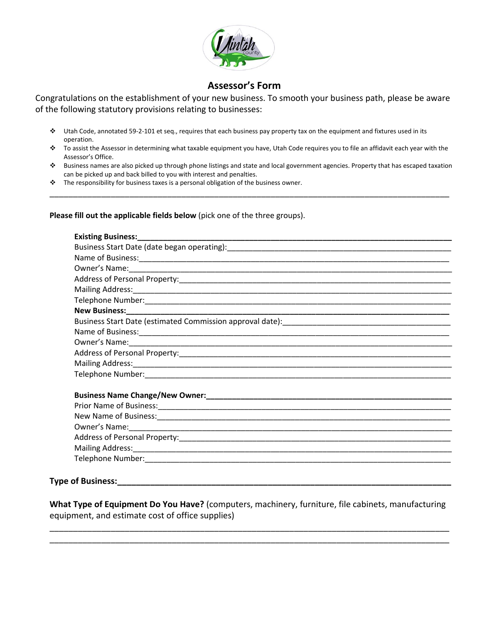

## **Assessor's Form**

Congratulations on the establishment of your new business. To smooth your business path, please be aware of the following statutory provisions relating to businesses:

- Utah Code, annotated 59-2-101 et seq., requires that each business pay property tax on the equipment and fixtures used in its operation.
- To assist the Assessor in determining what taxable equipment you have, Utah Code requires you to file an affidavit each year with the Assessor's Office.
- Business names are also picked up through phone listings and state and local government agencies. Property that has escaped taxation can be picked up and back billed to you with interest and penalties.

\_\_\_\_\_\_\_\_\_\_\_\_\_\_\_\_\_\_\_\_\_\_\_\_\_\_\_\_\_\_\_\_\_\_\_\_\_\_\_\_\_\_\_\_\_\_\_\_\_\_\_\_\_\_\_\_\_\_\_\_\_\_\_\_\_\_\_\_\_\_\_\_\_\_\_\_\_\_\_\_\_\_\_\_\_

 $\cdot \cdot$  The responsibility for business taxes is a personal obligation of the business owner.

#### **Please fill out the applicable fields below** (pick one of the three groups).

#### **Type of Business:**

**What Type of Equipment Do You Have?** (computers, machinery, furniture, file cabinets, manufacturing equipment, and estimate cost of office supplies)

\_\_\_\_\_\_\_\_\_\_\_\_\_\_\_\_\_\_\_\_\_\_\_\_\_\_\_\_\_\_\_\_\_\_\_\_\_\_\_\_\_\_\_\_\_\_\_\_\_\_\_\_\_\_\_\_\_\_\_\_\_\_\_\_\_\_\_\_\_\_\_\_\_\_\_\_\_\_\_\_\_\_\_\_\_ \_\_\_\_\_\_\_\_\_\_\_\_\_\_\_\_\_\_\_\_\_\_\_\_\_\_\_\_\_\_\_\_\_\_\_\_\_\_\_\_\_\_\_\_\_\_\_\_\_\_\_\_\_\_\_\_\_\_\_\_\_\_\_\_\_\_\_\_\_\_\_\_\_\_\_\_\_\_\_\_\_\_\_\_\_